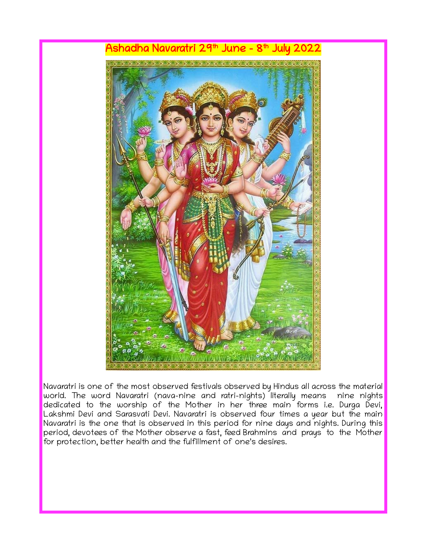

Navaratri is one of the most observed festivals observed by Hindus all across the material world. The word Navaratri (nava-nine and ratri-nights) literally means nine nights dedicated to the worship of the Mother in her three main forms i.e. Durga Devi, Lakshmi Devi and Sarasvati Devi. Navaratri is observed four times a year but the main Navaratri is the one that is observed in this period for nine days and nights. During this period, devotees of the Mother observe a fast, feed Brahmins and prays to the Mother for protection, better health and the fulfillment of one's desires.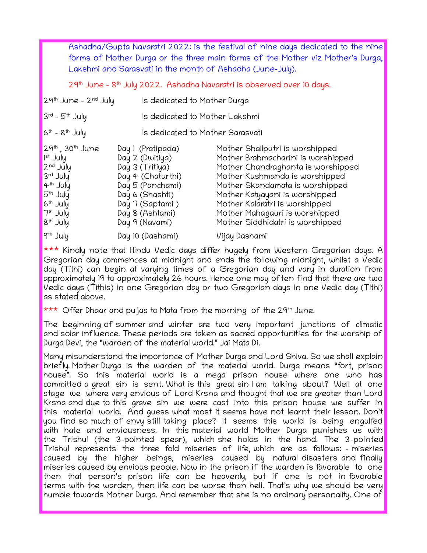Ashadha/Gupta Navaratri 2022: is the festival of nine days dedicated to the nine forms of Mother Durga or the three main forms of the Mother viz Mother's Durga, Lakshmi and Sarasvati in the month of Ashadha (June–July).

29th June - 8th July 2022. Ashadha Navaratri is observed over 10 days.

| $29th$ June - $2nd$ July                                                                                                                                                                       | Is dedicated to Mother Durga                                                                                                                                                |                                                                                                                                                                                                                                                                                                                            |  |
|------------------------------------------------------------------------------------------------------------------------------------------------------------------------------------------------|-----------------------------------------------------------------------------------------------------------------------------------------------------------------------------|----------------------------------------------------------------------------------------------------------------------------------------------------------------------------------------------------------------------------------------------------------------------------------------------------------------------------|--|
| $3^{rd}$ - 5 <sup>th</sup> July                                                                                                                                                                |                                                                                                                                                                             | Is dedicated to Mother Lakshmi                                                                                                                                                                                                                                                                                             |  |
| $6th - 8th$ July                                                                                                                                                                               |                                                                                                                                                                             | Is dedicated to Mother Sarasvati                                                                                                                                                                                                                                                                                           |  |
| $29th$ , 30 <sup>th</sup> June<br>$Ist$ July<br>2 <sup>nd</sup> July<br>3rd July<br>4 <sup>th</sup> July<br>5 <sup>th</sup> July<br>$6th$ July<br>7 <sup>th</sup> July<br>8 <sup>th</sup> July | Day I (Pratipada)<br>Day 2 (Dwitiya)<br>Day 3 (Tritiya)<br>Day 4 (Chaturthi)<br>Day 5 (Panchami)<br>Day 6 (Shashti)<br>Day 7 (Saptami)<br>Day 8 (Ashtami)<br>Day 9 (Navami) | Mother Shailputri is worshipped<br>Mother Brahmacharini is worshipped<br>Mother Chandraghanta is worshipped<br>Mother Kushmanda is worshipped<br>Mother Skandamata is worshipped<br>Mother Katyayani is worshipped<br>Mother Kalaratri is worshipped<br>Mother Mahagauri is worshipped<br>Mother Siddhidatri is worshipped |  |
| 19 <sup>th</sup> July                                                                                                                                                                          | Day 10 (Dashami)                                                                                                                                                            | Vijay Dashami                                                                                                                                                                                                                                                                                                              |  |

\*\*\* Kindly note that Hindu Vedic days differ hugely from Western Gregorian days. A Gregorian day commences at midnight and ends the following midnight, whilst a Vedic day (Tithi) can begin at varying times of a Gregorian day and vary in duration from approximately 19 to approximately 26 hours. Hence one may often find that there are two Vedic days (Tithis) in one Gregorian day or two Gregorian days in one Vedic day (Tithi) as stated above.

\*\*\* Offer Dhaar and pujas to Mata from the morning of the 29<sup>th</sup> June.

The beginning of summer and winter are two very important junctions of climatic and solar influence. These periods are taken as sacred opportunities for the worship of Durga Devi, the "warden of the material world." Jai Mata Di.

Many misunderstand the importance of Mother Durga and Lord Shiva. So we shall explain briefly. Mother Durga is the warden of the material world. Durga means "fort, prison house". So this material world is a mega prison house where one who has committed a great sin is sent. What is this great sin I am talking about? Well at one stage we where very envious of Lord Krsna and thought that we are greater than Lord Krsna and due to this grave sin we were cast into this prison house we suffer in this material world. And guess what most it seems have not learnt their lesson. Don't you find so much of envy still taking place? It seems this world is being engulfed with hate and enviousness. In this material world Mother Durga punishes us with the Trishul (the 3-pointed spear), which she holds in the hand. The 3-pointed Trishul represents the three fold miseries of life, which are as follows: - miseries caused by the higher beings, miseries caused by natural disasters and finally miseries caused by envious people. Now in the prison if the warden is favorable to one then that person's prison life can be heavenly, but if one is not in favorable terms with the warden, then life can be worse than hell. That's why we should be very humble towards Mother Durga. And remember that she is no ordinary personality. One of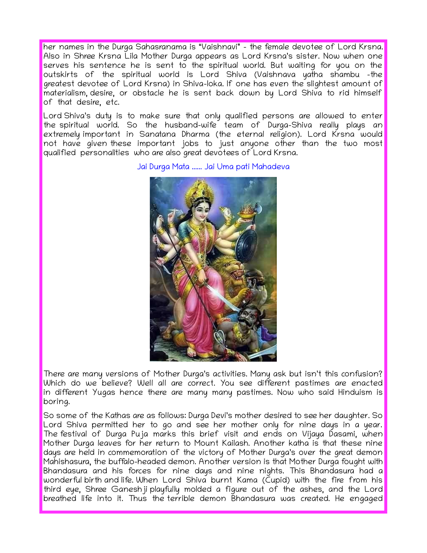her names in the Durga Sahasranama is "Vaishnavi" - the female devotee of Lord Krsna. Also in Shree Krsna Lila Mother Durga appears as Lord Krsna's sister. Now when one serves his sentence he is sent to the spiritual world. But waiting for you on the outskirts of the spiritual world is Lord Shiva (Vaishnava yatha shambu –the greatest devotee of Lord Krsna) in Shiva-loka. If one has even the slightest amount of materialism, desire, or obstacle he is sent back down by Lord Shiva to rid himself of that desire, etc.

Lord Shiva's duty is to make sure that only qualified persons are allowed to enter the spiritual world. So the husband-wife team of Durga-Shiva really plays an extremely important in Sanatana Dharma (the eternal religion). Lord Krsna would not have given these important jobs to just anyone other than the two most qualified personalities who are also great devotees of Lord Krsna.

Jai Durga Mata ...... Jai Uma pati Mahadeva



There are many versions of Mother Durga's activities. Many ask but isn't this confusion? Which do we believe? Well all are correct. You see different pastimes are enacted in different Yugas hence there are many many pastimes. Now who said Hinduism is boring.

So some of the Kathas are as follows: Durga Devi's mother desired to see her daughter. So Lord Shiva permitted her to go and see her mother only for nine days in a year. The festival of Durga Puja marks this brief visit and ends on Vijaya Dasami, when Mother Durga leaves for her return to Mount Kailash. Another katha is that these nine days are held in commemoration of the victory of Mother Durga's over the great demon Mahishasura, the buffalo-headed demon. Another version is that Mother Durga fought with Bhandasura and his forces for nine days and nine nights. This Bhandasura had a wonderful birth and life. When Lord Shiva burnt Kama (Cupid) with the fire from his third eye, Shree Ganeshji playfully molded a figure out of the ashes, and the Lord breathed life into it. Thus the terrible demon Bhandasura was created. He engaged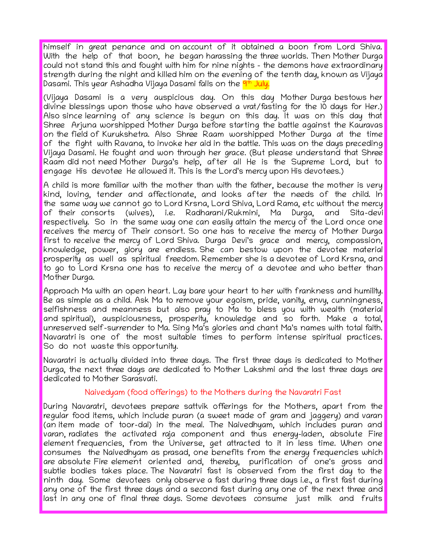himself in great penance and on account of it obtained a boon from Lord Shiva. With the help of that boon, he began harassing the three worlds. Then Mother Durga could not stand this and fought with him for nine nights - the demons have extraordinary strength during the night and killed him on the evening of the tenth day, known as Vijaya Dasami. This year Ashadha Vijaya Dasami falls on the <mark>9th July.</mark>

(Vijaya Dasami is a very auspicious day. On this day Mother Durga bestows her divine blessings upon those who have observed a vrat/fasting for the 10 days for Her.) Also since learning of any science is begun on this day. It was on this day that Shree Arjuna worshipped Mother Durga before starting the battle against the Kauravas on the field of Kurukshetra. Also Shree Raam worshipped Mother Durga at the time of the fight with Ravana, to invoke her aid in the battle. This was on the days preceding Vijaya Dasami. He fought and won through her grace. (But please understand that Shree Raam did not need Mother Durga's help, after all He is the Supreme Lord, but to engage His devotee He allowed it. This is the Lord's mercy upon His devotees.)

A child is more familiar with the mother than with the father, because the mother is very kind, loving, tender and affectionate, and looks after the needs of the child. In the same way we cannot go to Lord Krsna, Lord Shiva, Lord Rama, etc without the mercy of their consorts (wives), i.e. Radharani/Rukmini, Ma Durga, and Sita-devi respectively. So in the same way one can easily attain the mercy of the Lord once one receives the mercy of Their consort. So one has to receive the mercy of Mother Durga first to receive the mercy of Lord Shiva. Durga Devi's grace and mercy, compassion, knowledge, power, glory are endless. She can bestow upon the devotee material prosperity as well as spiritual freedom. Remember she is a devotee of Lord Krsna, and to go to Lord Krsna one has to receive the mercy of a devotee and who better than Mother Durga.

Approach Ma with an open heart. Lay bare your heart to her with frankness and humility. Be as simple as a child. Ask Ma to remove your egoism, pride, vanity, envy, cunningness, selfishness and meanness but also pray to Ma to bless you with wealth (material and spiritual), auspiciousness, prosperity, knowledge and so forth. Make a total, unreserved self-surrender to Ma. Sing Ma's glories and chant Ma's names with total faith. Navaratri is one of the most suitable times to perform intense spiritual practices. So do not waste this opportunity.

Navaratri is actually divided into three days. The first three days is dedicated to Mother Durga, the next three days are dedicated to Mother Lakshmi and the last three days are dedicated to Mother Sarasvati.

## Naivedyam (food offerings) to the Mothers during the Navaratri Fast

During Navaratri, devotees prepare sattvik offerings for the Mothers, apart from the regular food items, which include puran (a sweet made of gram and jaggery) and varan (an item made of toor-dal) in the meal. The Naivedhyam, which includes puran and varan, radiates the activated raja component and thus energy-laden, absolute Fire element frequencies, from the Universe, get attracted to it in less time. When one consumes the Naivedhyam as prasad, one benefits from the energy frequencies which are absolute Fire element oriented and, thereby, purification of one's gross and subtle bodies takes place. The Navaratri fast is observed from the first day to the ninth day. Some devotees only observe a fast during three days i.e., a first fast during any one of the first three days and a second fast during any one of the next three and last in any one of final three days. Some devotees consume just milk and fruits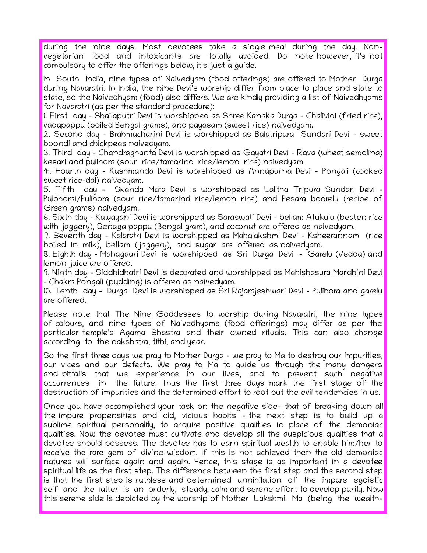during the nine days. Most devotees take a single meal during the day. Nonvegetarian food and intoxicants are totally avoided. Do note however, it's not compulsory to offer the offerings below, it's just a guide.

In South India, nine types of Naivedyam (food offerings) are offered to Mother Durga during Navaratri. In India, the nine Devi's worship differ from place to place and state to state, so the Naivedhyam (food) also differs. We are kindly providing a list of Naivedhyams for Navaratri (as per the standard procedure):

1. First day – Shailaputri Devi is worshipped as Shree Kanaka Durga – Chalividi (fried rice), vadapappu (boiled Bengal grams), and payasam (sweet rice) naivedyam.

2. Second day – Brahmacharini Devi is worshipped as Balatripura Sundari Devi – sweet boondi and chickpeas naivedyam.

3. Third day – Chandraghanta Devi is worshipped as Gayatri Devi – Rava (wheat semolina) kesari and pulihora (sour rice/tamarind rice/lemon rice) naivedyam.

4. Fourth day - Kushmanda Devi is worshipped as Annapurna Devi – Pongali (cooked sweet rice-dal) naivedyam.

5. Fifth day – Skanda Mata Devi is worshipped as Lalitha Tripura Sundari Devi – Pulohorai/Pulihora (sour rice/tamarind rice/lemon rice) and Pesara boorelu (recipe of Green grams) naivedyam.

6. Sixth day – Katyayani Devi is worshipped as Saraswati Devi – bellam Atukulu (beaten rice with jaggery), Senaga pappu (Bengal gram), and coconut are offered as naivedyam.

7. Seventh day – Kalaratri Devi is worshipped as Mahalakshmi Devi – Ksheerannam (rice boiled in milk), bellam (jaggery), and sugar are offered as naivedyam.

8. Eighth day – Mahagauri Devi is worshipped as Sri Durga Devi – Garelu (Vedda) and lemon juice are offered.

9. Ninth day – Siddhidhatri Devi is decorated and worshipped as Mahishasura Mardhini Devi – Chakra Pongali (pudding) is offered as naivedyam.

10. Tenth day – Durga Devi is worshipped as Sri Rajarajeshwari Devi – Pulihora and garelu are offered.

Please note that The Nine Goddesses to worship during Navaratri, the nine types of colours, and nine types of Naivedhyams (food offerings) may differ as per the particular temple's Agama Shastra and their owned rituals. This can also change according to the nakshatra, tithi, and year.

So the first three days we pray to Mother Durga - we pray to Ma to destroy our impurities, our vices and our defects. We pray to Ma to guide us through the many dangers and pitfalls that we experience in our lives, and to prevent such negative occurrences in the future. Thus the first three days mark the first stage of the destruction of impurities and the determined effort to root out the evil tendencies in us.

Once you have accomplished your task on the negative side- that of breaking down all the impure propensities and old, vicious habits - the next step is to build up a sublime spiritual personality, to acquire positive qualities in place of the demoniac qualities. Now the devotee must cultivate and develop all the auspicious qualities that a devotee should possess. The devotee has to earn spiritual wealth to enable him/her to receive the rare gem of divine wisdom. If this is not achieved then the old demoniac natures will surface again and again. Hence, this stage is as important in a devotee spiritual life as the first step. The difference between the first step and the second step is that the first step is ruthless and determined annihilation of the impure egoistic self and the latter is an orderly, steady, calm and serene effort to develop purity. Now this serene side is depicted by the worship of Mother Lakshmi. Ma (being the wealth–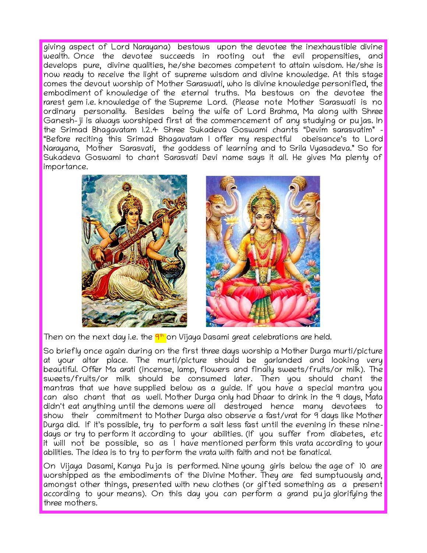giving aspect of Lord Narayana) bestows upon the devotee the inexhaustible divine wealth. Once the devotee succeeds in rooting out the evil propensities, and develops pure, divine qualities, he/she becomes competent to attain wisdom. He/she is now ready to receive the light of supreme wisdom and divine knowledge. At this stage comes the devout worship of Mother Saraswati, who is divine knowledge personified, the embodiment of knowledge of the eternal truths. Ma bestows on the devotee the rarest gem i.e. knowledge of the Supreme Lord. (Please note Mother Saraswati is no ordinary personality. Besides being the wife of Lord Brahma, Ma along with Shree Ganesh-ji is always worshiped first at the commencement of any studying or pujas. In the Srimad Bhagavatam 1.2.4 Shree Sukadeva Goswami chants "Devim sarasvatim" - "Before reciting this Srimad Bhagavatam I offer my respectful obeisance's to Lord Narayana, Mother Sarasvati, the goddess of learning and to Srila Vyasadeva." So for Sukadeva Goswami to chant Sarasvati Devi name says it all. He gives Ma plenty of importance.





Then on the next day i.e. the <mark>9th</mark> on Vijaya Dasami great celebrations are held.

So briefly once again during on the first three days worship a Mother Durga murti/picture at your altar place. The murti/picture should be garlanded and looking very beautiful. Offer Ma arati (incense, lamp, flowers and finally sweets/fruits/or milk). The sweets/fruits/or milk should be consumed later. Then you should chant the mantras that we have supplied below as a guide. If you have a special mantra you can also chant that as well. Mother Durga only had Dhaar to drink in the 9 days, Mata didn't eat anything until the demons were all destroyed hence many devotees to show their commitment to Mother Durga also observe a fast/vrat for 9 days like Mother Durga did. If it's possible, try to perform a salt less fast until the evening in these ninedays or try to perform it according to your abilities. (If you suffer from diabetes, etc it will not be possible, so as I have mentioned perform this vrata according to your abilities. The idea is to try to perform the vrata with faith and not be fanatical.

On Vijaya Dasami, Kanya Puja is performed. Nine young girls below the age of 10 are worshipped as the embodiments of the Divine Mother. They are fed sumptuously and, amongst other things, presented with new clothes (or gifted something as a present according to your means). On this day you can perform a grand puja glorifying the three mothers.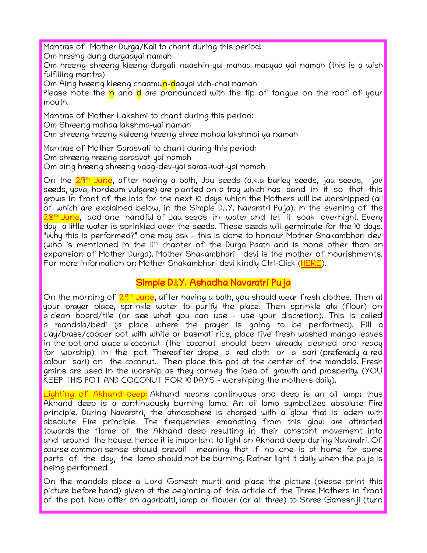Mantras of Mother Durga/Kali to chant during this period:

Om hreeng dung durgaayai namah

Om hreeng shreeng kleeng durgati naashin-yai mahaa maayaa yai namah (this is a wish fulfilling mantra)

Om Aing hreeng kleeng chaamun-daayai vich-chai namah

Please note the <mark>n</mark> and <mark>d</mark> are pronounced with the tip of tongue on the roof of your mouth.

Mantras of Mother Lakshmi to chant during this period:

Om Shreeng mahaa lakshma-yai namah

Om shreeng hreeng kaleeng hreeng shree mahaa lakshmai ya namah

Mantras of Mother Sarasvati to chant during this period:

Om shreeng hreeng sarasvat-yai namah

Om aing hreeng shreeng vaag-dev-yai saras-wat-yai namah

On the 29th June, after having a bath, Jau seeds (a.k.a barley seeds, jau seeds, jav seeds, yava, hordeum vulgare) are planted on a tray which has sand in it so that this grows in front of the lota for the next 10 days which the Mothers will be worshipped (all of which are explained below, in the Simple D.I.Y. Navaratri Puja). In the evening of the  $28<sup>th</sup>$  June, add one handful of Jau seeds in water and let it soak overnight. Every day a little water is sprinkled over the seeds. These seeds will germinate for the 10 days. "Why this is performed?" one may ask - this is done to honour Mother Shakambhari devi (who is mentioned in the 11<sup>th</sup> chapter of the Durga Paath and is none other than an expansion of Mother Durga). Mother Shakambhari devi is the mother of nourishments. For more information on Mother Shakambhari devi kindly Ctrl-Click ([HERE](http://dipika.org.za/wp-content/uploads/2015/04/Shakambhari-Devi-3.pdf)).

## Simple D.I.Y. Ashadha Navaratri Puja

On the morning of 29<sup>th</sup> June, after having a bath, you should wear fresh clothes. Then at your prayer place, sprinkle water to purify the place. Then sprinkle ata (flour) on a clean board/tile (or see what you can use – use your discretion). This is called a mandala/bedi (a place where the prayer is going to be performed). Fill a clay/brass/copper pot with white or basmati rice, place five fresh washed mango leaves in the pot and place a coconut (the coconut should been already cleaned and ready for worship) in the pot. Thereafter drape a red cloth or a sari (preferably a red colour sari) on the coconut. Then place this pot at the center of the mandala. Fresh grains are used in the worship as they convey the idea of growth and prosperity. (YOU KEEP THIS POT AND COCONUT FOR 10 DAYS - worshiping the mothers daily).

Lighting of Akhand deep: Akhand means continuous and deep is an oil lamp; thus Akhand deep is a continuously burning lamp. An oil lamp symbolizes absolute Fire principle. During Navaratri, the atmosphere is charged with a glow that is laden with absolute Fire principle. The frequencies emanating from this glow are attracted towards the flame of the Akhand deep resulting in their constant movement into and around the house. Hence it is important to light an Akhand deep during Navaratri. Of course common sense should prevail - meaning that if no one is at home for some parts of the day, the lamp should not be burning. Rather light it daily when the puja is being performed.

On the mandala place a Lord Ganesh murti and place the picture (please print this picture before hand) given at the beginning of this article of the Three Mothers in front of the pot. Now offer an agarbatti, lamp or flower (or all three) to Shree Ganeshji (turn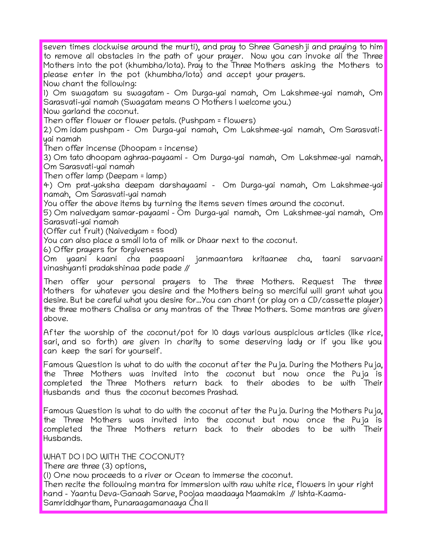seven times clockwise around the murti), and pray to Shree Ganeshji and praying to him to remove all obstacles in the path of your prayer. Now you can invoke all the Three Mothers into the pot (khumbha/lota). Pray to the Three Mothers asking the Mothers to please enter in the pot (khumbha/lota) and accept your prayers. Now chant the following: 1) Om swagatam su swagatam - Om Durga-yai namah, Om Lakshmee-yai namah, Om

Sarasvati-yai namah (Swagatam means O Mothers I welcome you.)

Now garland the coconut.

Then offer flower or flower petals. (Pushpam = flowers)

2) Om idam pushpam – Om Durga-yai namah, Om Lakshmee-yai namah, Om Sarasvatiyai namah

Then offer incense (Dhoopam = incense)

3) Om tato dhoopam aghraa-payaami – Om Durga-yai namah, Om Lakshmee-yai namah, Om Sarasvati-yai namah

Then offer lamp (Deepam = lamp)

4) Om prat-yaksha deepam darshayaami – Om Durga-yai namah, Om Lakshmee-yai namah, Om Sarasvati-yai namah

You offer the above items by turning the items seven times around the coconut.

5) Om naivedyam samar-payaami – Om Durga-yai namah, Om Lakshmee-yai namah, Om Sarasvati-yai namah

(Offer cut fruit) (Naivedyam = food)

You can also place a small lota of milk or Dhaar next to the coconut.

6) Offer prayers for forgiveness

Om yaani kaani cha paapaani janmaantara kritaanee cha, taani sarvaani vinashyanti pradakshinaa pade pade //

Then offer your personal prayers to The three Mothers. Request The three Mothers for whatever you desire and the Mothers being so merciful will grant what you desire. But be careful what you desire for...You can chant (or play on a CD/cassette player) the three mothers Chalisa or any mantras of the Three Mothers. Some mantras are given above.

After the worship of the coconut/pot for 10 days various auspicious articles (like rice, sari, and so forth) are given in charity to some deserving lady or if you like you can keep the sari for yourself.

Famous Question is what to do with the coconut after the Puja. During the Mothers Puja, the Three Mothers was invited into the coconut but now once the Puja is completed the Three Mothers return back to their abodes to be with Their Husbands and thus the coconut becomes Prashad.

Famous Question is what to do with the coconut after the Puja. During the Mothers Puja, the Three Mothers was invited into the coconut but now once the Puja is completed the Three Mothers return back to their abodes to be with Their Husbands.

WHAT DO I DO WITH THE COCONUT?

There are three (3) options,

(1) One now proceeds to a river or Ocean to immerse the coconut.

Then recite the following mantra for immersion with raw white rice, flowers in your right hand - Yaantu Deva-Ganaah Sarve, Poojaa maadaaya Maamakim // Ishta-Kaama-Samriddhyartham, Punaraagamanaaya Cha॥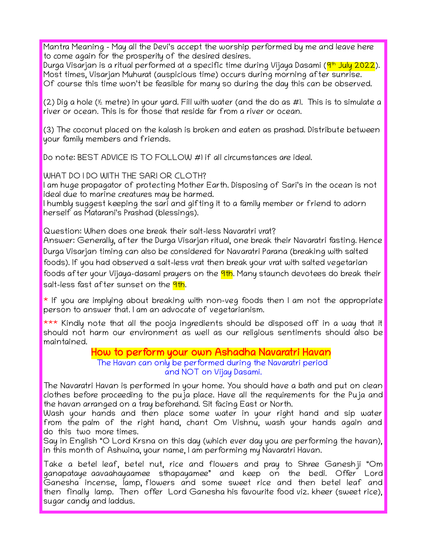Mantra Meaning - May all the Devi's accept the worship performed by me and leave here to come again for the prosperity of the desired desires.

Durga Visarjan is a ritual performed at a specific time during Vijaya Dasami (<mark>9th July 2022</mark>). Most times, Visarjan Muhurat (auspicious time) occurs during morning after sunrise. Of course this time won't be feasible for many so during the day this can be observed.

(2) Dig a hole ( $\frac{1}{2}$  metre) in your yard. Fill with water (and the do as #1. This is to simulate a river or ocean. This is for those that reside far from a river or ocean.

(3) The coconut placed on the kalash is broken and eaten as prashad. Distribute between your family members and friends.

Do note: BEST ADVICE IS TO FOLLOW #1 if all circumstances are ideal.

WHAT DO I DO WITH THE SARI OR CLOTH?

I am huge propagator of protecting Mother Earth. Disposing of Sari's in the ocean is not ideal due to marine creatures may be harmed.

I humbly suggest keeping the sari and gifting it to a family member or friend to adorn herself as Matarani's Prashad (blessings).

Question: When does one break their salt-less Navaratri vrat?

Answer: Generally, after the Durga Visarjan ritual, one break their Navaratri fasting. Hence Durga Visarjan timing can also be considered for Navaratri Parana (breaking with salted foods). If you had observed a salt-less vrat then break your vrat with salted vegetarian foods after your Vijaya-dasami prayers on the **9th**. Many staunch devotees do break their salt-less fast after sunset on the 9th.

 $*$  If you are implying about breaking with non-veg foods then I am not the appropriate person to answer that. I am an advocate of vegetarianism.

\*\*\* Kindly note that all the pooja ingredients should be disposed off in a way that it should not harm our environment as well as our religious sentiments should also be maintained.

## How to perform your own Ashadha Navaratri Havan

The Havan can only be performed during the Navaratri period and NOT on Vijay Dasami.

The Navaratri Havan is performed in your home. You should have a bath and put on clean clothes before proceeding to the puja place. Have all the requirements for the Puja and the havan arranged on a tray beforehand. Sit facing East or North.

Wash your hands and then place some water in your right hand and sip water from the palm of the right hand, chant Om Vishnu, wash your hands again and do this two more times.

Say in English "O Lord Krsna on this day (which ever day you are performing the havan), in this month of Ashwina, your name, I am performing my Navaratri Havan.

Take a betel leaf, betel nut, rice and flowers and pray to Shree Ganeshji "Om ganapataye aavaahayaamee sthapayamee" and keep on the bedi. Offer Lord Ganesha incense, lamp, flowers and some sweet rice and then betel leaf and then finally lamp. Then offer Lord Ganesha his favourite food viz. kheer (sweet rice), sugar candy and laddus.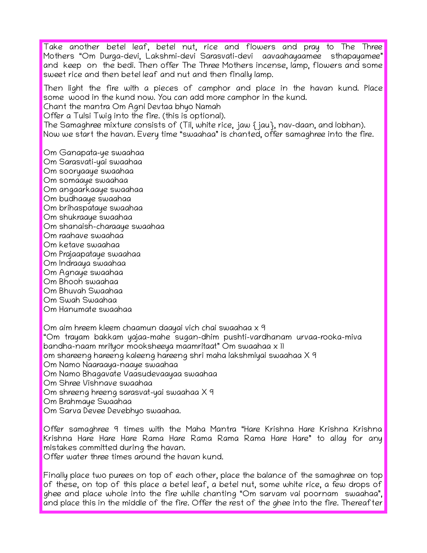Take another betel leaf, betel nut, rice and flowers and pray to The Three Mothers "Om Durga-devi, Lakshmi-devi Sarasvati-devi aavaahayaamee sthapayamee" and keep on the bedi. Then offer The Three Mothers incense, lamp, flowers and some sweet rice and then betel leaf and nut and then finally lamp.

Then light the fire with a pieces of camphor and place in the havan kund. Place some wood in the kund now. You can add more camphor in the kund.

Chant the mantra Om Agni Devtaa bhyo Namah

Offer a Tulsi Twig into the fire. (this is optional).

The Samaghree mixture consists of (Til, white rice, jaw  $\{$  jau $\}$ , nav-daan, and lobhan). Now we start the havan. Every time "swaahaa" is chanted, offer samaghree into the fire.

Om Ganapata-ye swaahaa Om Sarasvati-yai swaahaa Om sooryaaye swaahaa Om somaaye swaahaa Om angaarkaaye swaahaa Om budhaaye swaahaa Om brihaspataye swaahaa Om shukraaye swaahaa Om shanaish-charaaye swaahaa Om raahave swaahaa Om ketave swaahaa Om Prajaapataye swaahaa Om Indraaya swaahaa Om Agnaye swaahaa Om Bhooh swaahaa Om Bhuvah Swaahaa Om Swah Swaahaa Om Hanumate swaahaa

Om aim hreem kleem chaamun daayai vich chai swaahaa x 9 "Om trayam bakkam yajaa-mahe sugan-dhim pushti-vardhanam urvaa-rooka-miva bandha-naam mrityor mooksheeya maamritaat" Om swaahaa x 11 om shareeng hareeng kaleeng hareeng shri maha lakshmiyai swaahaa X 9 Om Namo Naaraaya-naaye swaahaa Om Namo Bhagavate Vaasudevaayaa swaahaa Om Shree Vishnave swaahaa Om shreeng hreeng sarasvat-yai swaahaa X 9 Om Brahmaye Swaahaa Om Sarva Devee Devebhyo swaahaa.

Offer samaghree 9 times with the Maha Mantra "Hare Krishna Hare Krishna Krishna Krishna Hare Hare Hare Rama Hare Rama Rama Rama Hare Hare" to allay for any mistakes committed during the havan.

Offer water three times around the havan kund.

Finally place two purees on top of each other, place the balance of the samaghree on top of these, on top of this place a betel leaf, a betel nut, some white rice, a few drops of ghee and place whole into the fire while chanting "Om sarvam vai poornam swaahaa", and place this in the middle of the fire. Offer the rest of the ghee into the fire. Thereafter